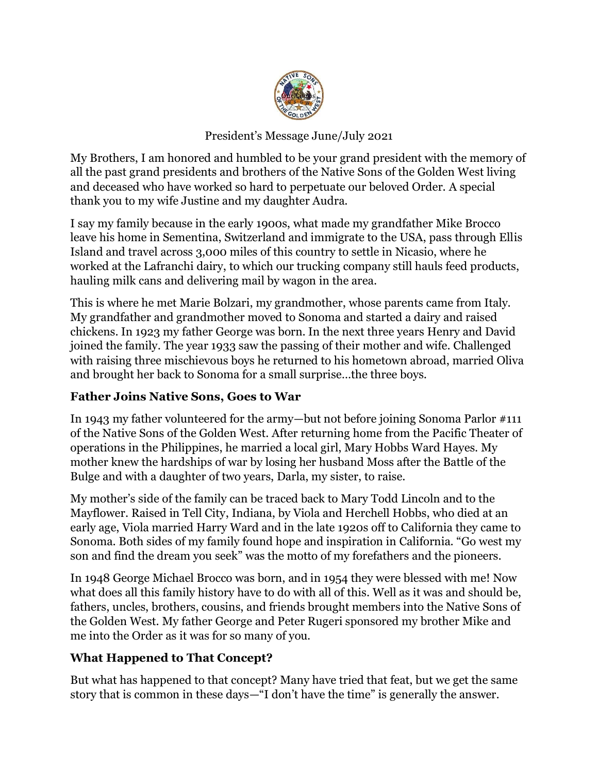

## President's Message June/July 2021

My Brothers, I am honored and humbled to be your grand president with the memory of all the past grand presidents and brothers of the Native Sons of the Golden West living and deceased who have worked so hard to perpetuate our beloved Order. A special thank you to my wife Justine and my daughter Audra.

I say my family because in the early 1900s, what made my grandfather Mike Brocco leave his home in Sementina, Switzerland and immigrate to the USA, pass through Ellis Island and travel across 3,000 miles of this country to settle in Nicasio, where he worked at the Lafranchi dairy, to which our trucking company still hauls feed products, hauling milk cans and delivering mail by wagon in the area.

This is where he met Marie Bolzari, my grandmother, whose parents came from Italy. My grandfather and grandmother moved to Sonoma and started a dairy and raised chickens. In 1923 my father George was born. In the next three years Henry and David joined the family. The year 1933 saw the passing of their mother and wife. Challenged with raising three mischievous boys he returned to his hometown abroad, married Oliva and brought her back to Sonoma for a small surprise…the three boys.

## **Father Joins Native Sons, Goes to War**

In 1943 my father volunteered for the army—but not before joining Sonoma Parlor #111 of the Native Sons of the Golden West. After returning home from the Pacific Theater of operations in the Philippines, he married a local girl, Mary Hobbs Ward Hayes. My mother knew the hardships of war by losing her husband Moss after the Battle of the Bulge and with a daughter of two years, Darla, my sister, to raise.

My mother's side of the family can be traced back to Mary Todd Lincoln and to the Mayflower. Raised in Tell City, Indiana, by Viola and Herchell Hobbs, who died at an early age, Viola married Harry Ward and in the late 1920s off to California they came to Sonoma. Both sides of my family found hope and inspiration in California. "Go west my son and find the dream you seek" was the motto of my forefathers and the pioneers.

In 1948 George Michael Brocco was born, and in 1954 they were blessed with me! Now what does all this family history have to do with all of this. Well as it was and should be, fathers, uncles, brothers, cousins, and friends brought members into the Native Sons of the Golden West. My father George and Peter Rugeri sponsored my brother Mike and me into the Order as it was for so many of you.

## **What Happened to That Concept?**

But what has happened to that concept? Many have tried that feat, but we get the same story that is common in these days—"I don't have the time" is generally the answer.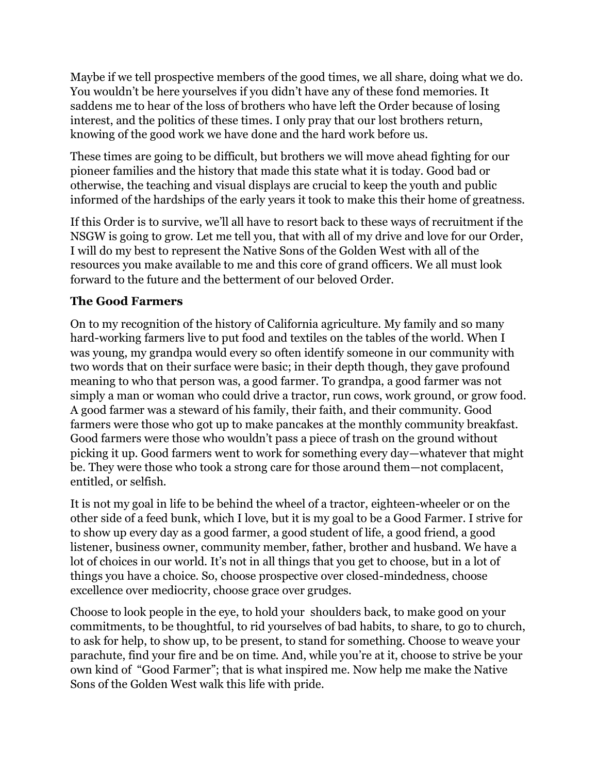Maybe if we tell prospective members of the good times, we all share, doing what we do. You wouldn't be here yourselves if you didn't have any of these fond memories. It saddens me to hear of the loss of brothers who have left the Order because of losing interest, and the politics of these times. I only pray that our lost brothers return, knowing of the good work we have done and the hard work before us.

These times are going to be difficult, but brothers we will move ahead fighting for our pioneer families and the history that made this state what it is today. Good bad or otherwise, the teaching and visual displays are crucial to keep the youth and public informed of the hardships of the early years it took to make this their home of greatness.

If this Order is to survive, we'll all have to resort back to these ways of recruitment if the NSGW is going to grow. Let me tell you, that with all of my drive and love for our Order, I will do my best to represent the Native Sons of the Golden West with all of the resources you make available to me and this core of grand officers. We all must look forward to the future and the betterment of our beloved Order.

## **The Good Farmers**

On to my recognition of the history of California agriculture. My family and so many hard-working farmers live to put food and textiles on the tables of the world. When I was young, my grandpa would every so often identify someone in our community with two words that on their surface were basic; in their depth though, they gave profound meaning to who that person was, a good farmer. To grandpa, a good farmer was not simply a man or woman who could drive a tractor, run cows, work ground, or grow food. A good farmer was a steward of his family, their faith, and their community. Good farmers were those who got up to make pancakes at the monthly community breakfast. Good farmers were those who wouldn't pass a piece of trash on the ground without picking it up. Good farmers went to work for something every day—whatever that might be. They were those who took a strong care for those around them—not complacent, entitled, or selfish.

It is not my goal in life to be behind the wheel of a tractor, eighteen-wheeler or on the other side of a feed bunk, which I love, but it is my goal to be a Good Farmer. I strive for to show up every day as a good farmer, a good student of life, a good friend, a good listener, business owner, community member, father, brother and husband. We have a lot of choices in our world. It's not in all things that you get to choose, but in a lot of things you have a choice. So, choose prospective over closed-mindedness, choose excellence over mediocrity, choose grace over grudges.

Choose to look people in the eye, to hold your shoulders back, to make good on your commitments, to be thoughtful, to rid yourselves of bad habits, to share, to go to church, to ask for help, to show up, to be present, to stand for something. Choose to weave your parachute, find your fire and be on time. And, while you're at it, choose to strive be your own kind of "Good Farmer"; that is what inspired me. Now help me make the Native Sons of the Golden West walk this life with pride.